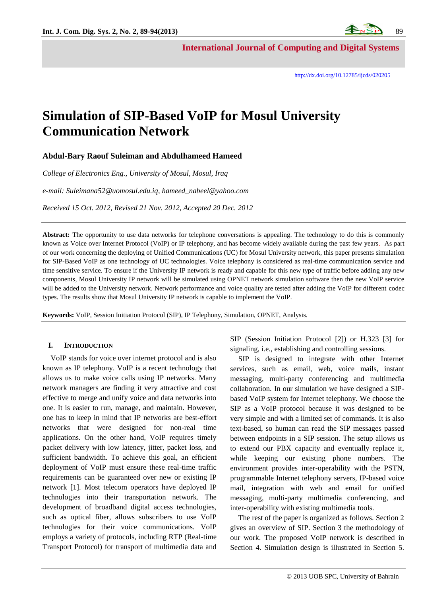**International Journal of Computing and Digital Systems**

# **Simulation of SIP-Based VoIP for Mosul University Communication Network**

**Abdul-Bary Raouf Suleiman and Abdulhameed Hameed**

*College of Electronics Eng., University of Mosul, Mosul, Iraq*

*e-mail: Suleimana52@uomosul.edu.iq, hameed\_nabeel@yahoo.com*

*Received 15 Oct. 2012, Revised 21 Nov. 2012, Accepted 20 Dec. 2012*

**Abstract:** The opportunity to use data networks for telephone conversations is appealing. The technology to do this is commonly known as Voice over Internet Protocol (VoIP) or IP telephony, and has become widely available during the past few years. As part of our work concerning the deploying of Unified Communications (UC) for Mosul University network, this paper presents simulation for SIP-Based VoIP as one technology of UC technologies. Voice telephony is considered as real-time communication service and time sensitive service. To ensure if the University IP network is ready and capable for this new type of traffic before adding any new components, Mosul University IP network will be simulated using OPNET network simulation software then the new VoIP service will be added to the University network. Network performance and voice quality are tested after adding the VoIP for different codec types. The results show that Mosul University IP network is capable to implement the VoIP.

**Keywords:** VoIP, Session Initiation Protocol (SIP), IP Telephony, Simulation, OPNET, Analysis.

## **I. INTRODUCTION**

VoIP stands for voice over internet protocol and is also known as IP telephony. VoIP is a recent technology that allows us to make voice calls using IP networks. Many network managers are finding it very attractive and cost effective to merge and unify voice and data networks into one. It is easier to run, manage, and maintain. However, one has to keep in mind that IP networks are best-effort networks that were designed for non-real time applications. On the other hand, VoIP requires timely packet delivery with low latency, jitter, packet loss, and sufficient bandwidth. To achieve this goal, an efficient deployment of VoIP must ensure these real-time traffic requirements can be guaranteed over new or existing IP network [1]. Most telecom operators have deployed IP technologies into their transportation network. The development of broadband digital access technologies, such as optical fiber, allows subscribers to use VoIP technologies for their voice communications. VoIP employs a variety of protocols, including RTP (Real-time Transport Protocol) for transport of multimedia data and SIP (Session Initiation Protocol [2]) or H.323 [3] for signaling, i.e., establishing and controlling sessions.

SIP is designed to integrate with other Internet services, such as email, web, voice mails, instant messaging, multi-party conferencing and multimedia collaboration. In our simulation we have designed a SIPbased VoIP system for Internet telephony. We choose the SIP as a VoIP protocol because it was designed to be very simple and with a limited set of commands. It is also text-based, so human can read the SIP messages passed between endpoints in a SIP session. The setup allows us to extend our PBX capacity and eventually replace it, while keeping our existing phone numbers. The environment provides inter-operability with the PSTN, programmable Internet telephony servers, IP-based voice mail, integration with web and email for unified messaging, multi-party multimedia conferencing, and inter-operability with existing multimedia tools.

The rest of the paper is organized as follows. Section 2 gives an overview of SIP. Section 3 the methodology of our work. The proposed VoIP network is described in Section 4. Simulation design is illustrated in Section 5.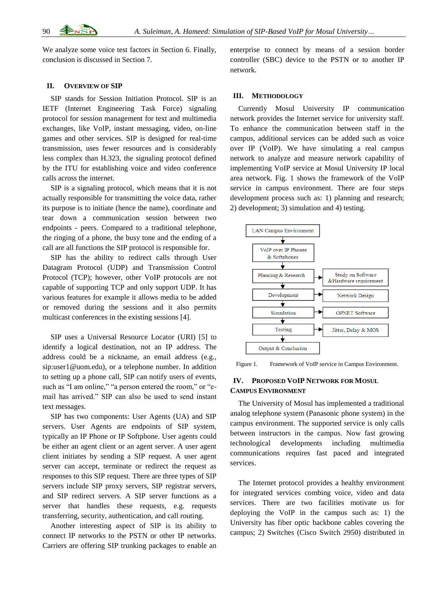We analyze some voice test factors in Section 6. Finally, conclusion is discussed in Section 7.

## **II. OVERVIEW OF SIP**

SIP stands for Session Initiation Protocol. SIP is an IETF (Internet Engineering Task Force) signaling protocol for session management for text and multimedia exchanges, like VoIP, instant messaging, video, on-line games and other services. SIP is designed for real-time transmission, uses fewer resources and is considerably less complex than H.323, the signaling protocol defined by the ITU for establishing voice and video conference calls across the internet.

SIP is a signaling protocol, which means that it is not actually responsible for transmitting the voice data, rather its purpose is to initiate (hence the name), coordinate and tear down a communication session between two endpoints - peers. Compared to a traditional telephone, the ringing of a phone, the busy tone and the ending of a call are all functions the SIP protocol is responsible for.

SIP has the ability to redirect calls through User Datagram Protocol (UDP) and Transmission Control Protocol (TCP); however, other VoIP protocols are not capable of supporting TCP and only support UDP. It has various features for example it allows media to be added or removed during the sessions and it also permits multicast conferences in the existing sessions [4].

SIP uses a Universal Resource Locator (URI) [5] to identify a logical destination, not an IP address. The address could be a nickname, an email address (e.g., sip:user1@uom.edu), or a telephone number. In addition to setting up a phone call, SIP can notify users of events, such as "I am online," "a person entered the room," or "email has arrived." SIP can also be used to send instant text messages.

SIP has two components: User Agents (UA) and SIP servers. User Agents are endpoints of SIP system, typically an IP Phone or IP Softphone. User agents could be either an agent client or an agent server. A user agent client initiates by sending a SIP request. A user agent server can accept, terminate or redirect the request as responses to this SIP request. There are three types of SIP servers include SIP proxy servers, SIP registrar servers, and SIP redirect servers. A SIP server functions as a server that handles these requests, e.g. requests transferring, security, authentication, and call routing.

Another interesting aspect of SIP is its ability to connect IP networks to the PSTN or other IP networks. Carriers are offering SIP trunking packages to enable an

enterprise to connect by means of a session border controller (SBC) device to the PSTN or to another IP network.

## **III. METHODOLOGY**

Currently Mosul University IP communication network provides the Internet service for university staff. To enhance the communication between staff in the campus, additional services can be added such as voice over IP (VoIP). We have simulating a real campus network to analyze and measure network capability of implementing VoIP service at Mosul University IP local area network. Fig. 1 shows the framework of the VoIP service in campus environment. There are four steps development process such as: 1) planning and research; 2) development; 3) simulation and 4) testing.



Figure 1. Framework of VoIP service in Campus Environment.

## **IV. PROPOSED VOIP NETWORK FOR MOSUL CAMPUS ENVIRONMENT**

The University of Mosul has implemented a traditional analog telephone system (Panasonic phone system) in the campus environment. The supported service is only calls between instructors in the campus. Now fast growing technological developments including multimedia communications requires fast paced and integrated services.

The Internet protocol provides a healthy environment for integrated services combing voice, video and data services. There are two facilities motivate us for deploying the VoIP in the campus such as: 1) the University has fiber optic backbone cables covering the campus; 2) Switches (Cisco Switch 2950) distributed in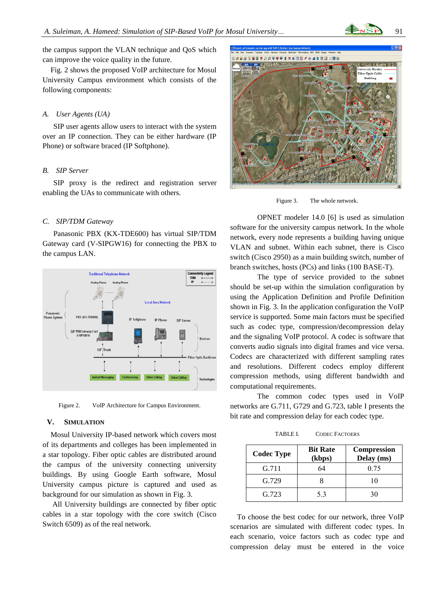the campus support the VLAN technique and QoS which can improve the voice quality in the future.

Fig. 2 shows the proposed VoIP architecture for Mosul University Campus environment which consists of the following components:

#### *A. User Agents (UA)*

SIP user agents allow users to interact with the system over an IP connection. They can be either hardware (IP Phone) or software braced (IP Softphone).

## *B. SIP Server*

SIP proxy is the redirect and registration server enabling the UAs to communicate with others.

#### *C. SIP/TDM Gateway*

Panasonic PBX (KX-TDE600) has virtual SIP/TDM Gateway card (V-SIPGW16) for connecting the PBX to the campus LAN.



Figure 2. VoIP Architecture for Campus Environment.

## **V. SIMULATION**

Mosul University IP-based network which covers most of its departments and colleges has been implemented in a star topology. Fiber optic cables are distributed around the campus of the university connecting university buildings. By using Google Earth software, Mosul University campus picture is captured and used as background for our simulation as shown in Fig. 3.

All University buildings are connected by fiber optic cables in a star topology with the core switch (Cisco Switch 6509) as of the real network.



Figure 3. The whole network.

OPNET modeler 14.0 [6] is used as simulation software for the university campus network. In the whole network, every node represents a building having unique VLAN and subnet. Within each subnet, there is Cisco switch (Cisco 2950) as a main building switch, number of branch switches, hosts (PCs) and links (100 BASE-T).

The type of service provided to the subnet should be set-up within the simulation configuration by using the Application Definition and Profile Definition shown in Fig. 3. In the application configuration the VoIP service is supported. Some main factors must be specified such as codec type, compression/decompression delay and the signaling VoIP protocol. A codec is software that converts audio signals into digital frames and vice versa. Codecs are characterized with different sampling rates and resolutions. Different codecs employ different compression methods, using different bandwidth and computational requirements.

The common codec types used in VoIP networks are G.711, G729 and G.723, table I presents the bit rate and compression delay for each codec type.

TABLE I. CODEC FACTOERS

| <b>Codec Type</b> | <b>Bit Rate</b><br>(kbps) | <b>Compression</b><br>Delay (ms) |
|-------------------|---------------------------|----------------------------------|
| G.711             | 64                        | 0.75                             |
| G.729             |                           | 10                               |
| G.723             | 53                        | 30                               |

To choose the best codec for our network, three VoIP scenarios are simulated with different codec types. In each scenario, voice factors such as codec type and compression delay must be entered in the voice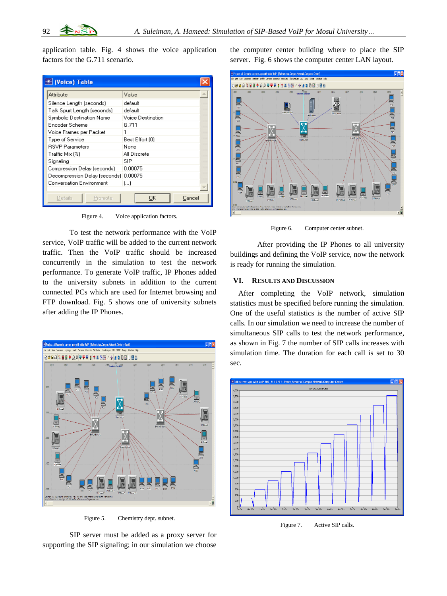application table. Fig. 4 shows the voice application factors for the G.711 scenario.

| <b>★ (Voice) Table</b>          |                   |
|---------------------------------|-------------------|
| Attribute                       | Value             |
| Silence Length (seconds)        | default           |
| Talk Spurt Length (seconds)     | default           |
| Symbolic Destination Name       | Voice Destination |
| Encoder Scheme                  | G. 711            |
| Voice Frames per Packet         |                   |
| Type of Service                 | Best Effort (0)   |
| <b>RSVP Parameters</b>          | None              |
| Traffic Mix [%]                 | All Discrete      |
| Signaling                       | SIP               |
| Compression Delay (seconds)     | 0.00075           |
| Decompression Delay (seconds)   | 0.00075           |
| <b>Conversation Environment</b> | f1                |
|                                 |                   |
| Details.<br>Promote             | OΚ<br>Cancel      |

Figure 4. Voice application factors.

To test the network performance with the VoIP service, VoIP traffic will be added to the current network traffic. Then the VoIP traffic should be increased concurrently in the simulation to test the network performance. To generate VoIP traffic, IP Phones added to the university subnets in addition to the current connected PCs which are used for Internet browsing and FTP download. Fig. 5 shows one of university subnets after adding the IP Phones.



Figure 5. Chemistry dept. subnet.

SIP server must be added as a proxy server for supporting the SIP signaling; in our simulation we choose

the computer center building where to place the SIP server. Fig. 6 shows the computer center LAN layout.



Figure 6. Computer center subnet.

After providing the IP Phones to all university buildings and defining the VoIP service, now the network is ready for running the simulation.

## **VI. RESULTS AND DISCUSSION**

After completing the VoIP network, simulation statistics must be specified before running the simulation. One of the useful statistics is the number of active SIP calls. In our simulation we need to increase the number of simultaneous SIP calls to test the network performance, as shown in Fig. 7 the number of SIP calls increases with simulation time. The duration for each call is set to 30 sec.



Figure 7. Active SIP calls.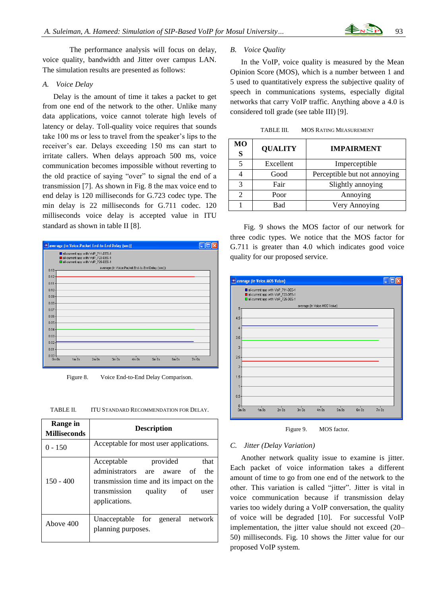The performance analysis will focus on delay, voice quality, bandwidth and Jitter over campus LAN. The simulation results are presented as follows:

## *A. Voice Delay*

Delay is the amount of time it takes a packet to get from one end of the network to the other. Unlike many data applications, voice cannot tolerate high levels of latency or delay. Toll-quality voice requires that sounds take 100 ms or less to travel from the speaker's lips to the receiver's ear. Delays exceeding 150 ms can start to irritate callers. When delays approach 500 ms, voice communication becomes impossible without reverting to the old practice of saying "over" to signal the end of a transmission [7]. As shown in Fig. 8 the max voice end to end delay is 120 milliseconds for G.723 codec type. The min delay is 22 milliseconds for G.711 codec. 120 milliseconds voice delay is accepted value in ITU standard as shown in table II [8].



Figure 8. Voice End-to-End Delay Comparison.

| TABLE II. | <b>ITU STANDARD RECOMMENDATION FOR DELAY.</b> |  |
|-----------|-----------------------------------------------|--|
|           |                                               |  |

| Range in<br><b>Milliseconds</b> | <b>Description</b>                                                                                                                                                     |  |  |
|---------------------------------|------------------------------------------------------------------------------------------------------------------------------------------------------------------------|--|--|
| $0 - 150$                       | Acceptable for most user applications.                                                                                                                                 |  |  |
| $150 - 400$                     | provided<br>Acceptable<br>that<br>administrators are aware of the<br>transmission time and its impact on the<br>transmission<br>quality<br>of<br>user<br>applications. |  |  |
| Above 400                       | Unacceptable for general network<br>planning purposes.                                                                                                                 |  |  |

#### *B. Voice Quality*

In the VoIP, voice quality is measured by the Mean Opinion Score (MOS), which is a number between 1 and 5 used to quantitatively express the subjective quality of speech in communications systems, especially digital networks that carry VoIP traffic. Anything above a 4.0 is considered toll grade (see table III) [9].

TABLE III. MOS RATING MEASUREMENT

| MО<br>S | <b>QUALITY</b> | <b>IMPAIRMENT</b>            |
|---------|----------------|------------------------------|
|         | Excellent      | Imperceptible                |
|         | Good           | Perceptible but not annoying |
| 3       | Fair           | Slightly annoying            |
|         | Poor           | Annoying                     |
|         | Bad            | Very Annoying                |

Fig. 9 shows the MOS factor of our network for three codic types. We notice that the MOS factor for G.711 is greater than 4.0 which indicates good voice quality for our proposed service.



Figure 9. MOS factor.

#### *C. Jitter (Delay Variation)*

Another network quality issue to examine is jitter. Each packet of voice information takes a different amount of time to go from one end of the network to the other. This variation is called "jitter". Jitter is vital in voice communication because if transmission delay varies too widely during a VoIP conversation, the quality of voice will be degraded [10]. For successful VoIP implementation, the jitter value should not exceed (20– 50) milliseconds. Fig. 10 shows the Jitter value for our proposed VoIP system.